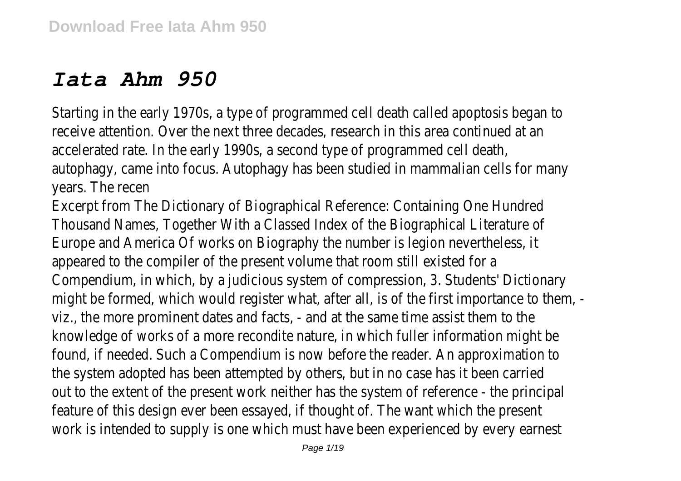## *Iata Ahm 950*

Starting in the early 1970s, a type of programmed cell death called apoptosis began to receive attention. Over the next three decades, research in this area continued at an accelerated rate. In the early 1990s, a second type of programmed cell death, autophagy, came into focus. Autophagy has been studied in mammalian cells for many years. The recen

Excerpt from The Dictionary of Biographical Reference: Containing One Hundred Thousand Names, Together With a Classed Index of the Biographical Literature of Europe and America Of works on Biography the number is legion nevertheless, it appeared to the compiler of the present volume that room still existed for a Compendium, in which, by a judicious system of compression, 3. Students' Dictionary might be formed, which would register what, after all, is of the first importance to them, viz., the more prominent dates and facts, - and at the same time assist them to the knowledge of works of a more recondite nature, in which fuller information might be found, if needed. Such a Compendium is now before the reader. An approximation to the system adopted has been attempted by others, but in no case has it been carried out to the extent of the present work neither has the system of reference - the principal feature of this design ever been essayed, if thought of. The want which the present work is intended to supply is one which must have been experienced by every earnest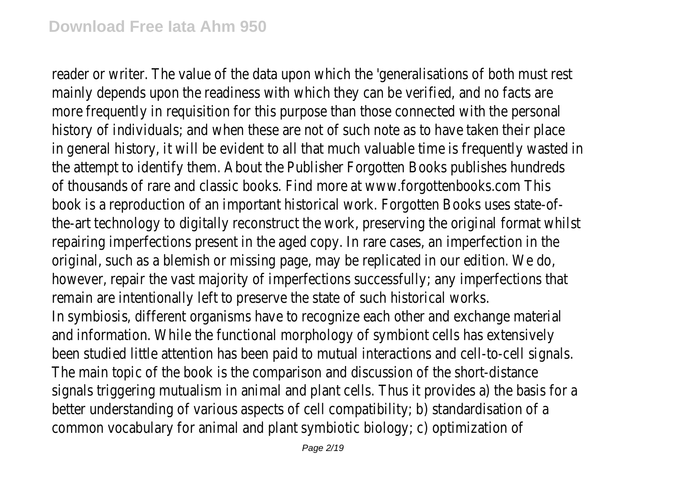reader or writer. The value of the data upon which the 'generalisations of both must rest mainly depends upon the readiness with which they can be verified, and no facts are more frequently in requisition for this purpose than those connected with the personal history of individuals; and when these are not of such note as to have taken their place in general history, it will be evident to all that much valuable time is frequently wasted in the attempt to identify them. About the Publisher Forgotten Books publishes hundreds of thousands of rare and classic books. Find more at www.forgottenbooks.com This book is a reproduction of an important historical work. Forgotten Books uses state-ofthe-art technology to digitally reconstruct the work, preserving the original format whilst repairing imperfections present in the aged copy. In rare cases, an imperfection in the original, such as a blemish or missing page, may be replicated in our edition. We do, however, repair the vast majority of imperfections successfully; any imperfections that remain are intentionally left to preserve the state of such historical works. In symbiosis, different organisms have to recognize each other and exchange material and information. While the functional morphology of symbiont cells has extensively been studied little attention has been paid to mutual interactions and cell-to-cell signals. The main topic of the book is the comparison and discussion of the short-distance signals triggering mutualism in animal and plant cells. Thus it provides a) the basis for a better understanding of various aspects of cell compatibility; b) standardisation of a common vocabulary for animal and plant symbiotic biology; c) optimization of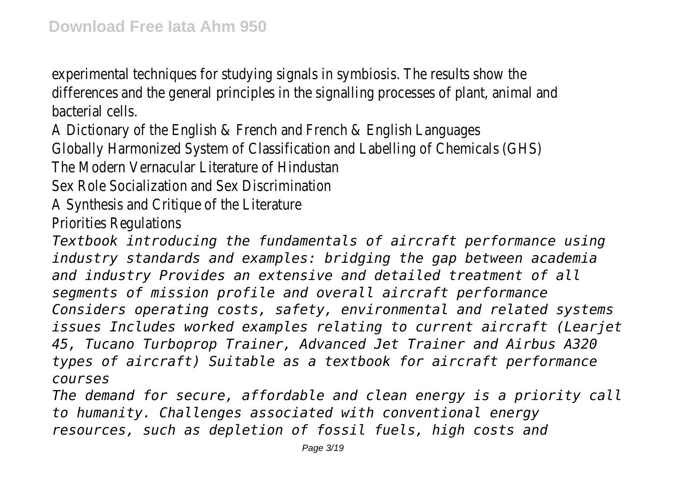experimental techniques for studying signals in symbiosis. The results show the differences and the general principles in the signalling processes of plant, animal and bacterial cells.

A Dictionary of the English & French and French & English Languages Globally Harmonized System of Classification and Labelling of Chemicals (GHS) The Modern Vernacular Literature of Hindustan

Sex Role Socialization and Sex Discrimination

A Synthesis and Critique of the Literature

Priorities Regulations

*Textbook introducing the fundamentals of aircraft performance using industry standards and examples: bridging the gap between academia and industry Provides an extensive and detailed treatment of all segments of mission profile and overall aircraft performance Considers operating costs, safety, environmental and related systems issues Includes worked examples relating to current aircraft (Learjet 45, Tucano Turboprop Trainer, Advanced Jet Trainer and Airbus A320 types of aircraft) Suitable as a textbook for aircraft performance courses*

*The demand for secure, affordable and clean energy is a priority call to humanity. Challenges associated with conventional energy resources, such as depletion of fossil fuels, high costs and*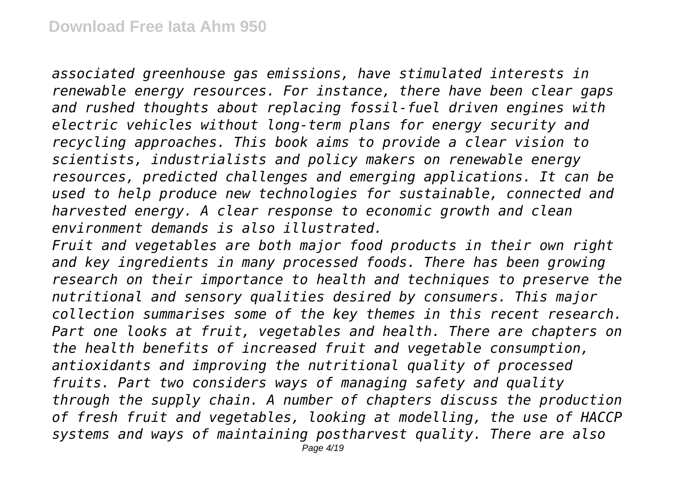*associated greenhouse gas emissions, have stimulated interests in renewable energy resources. For instance, there have been clear gaps and rushed thoughts about replacing fossil-fuel driven engines with electric vehicles without long-term plans for energy security and recycling approaches. This book aims to provide a clear vision to scientists, industrialists and policy makers on renewable energy resources, predicted challenges and emerging applications. It can be used to help produce new technologies for sustainable, connected and harvested energy. A clear response to economic growth and clean environment demands is also illustrated.*

*Fruit and vegetables are both major food products in their own right and key ingredients in many processed foods. There has been growing research on their importance to health and techniques to preserve the nutritional and sensory qualities desired by consumers. This major collection summarises some of the key themes in this recent research. Part one looks at fruit, vegetables and health. There are chapters on the health benefits of increased fruit and vegetable consumption, antioxidants and improving the nutritional quality of processed fruits. Part two considers ways of managing safety and quality through the supply chain. A number of chapters discuss the production of fresh fruit and vegetables, looking at modelling, the use of HACCP systems and ways of maintaining postharvest quality. There are also*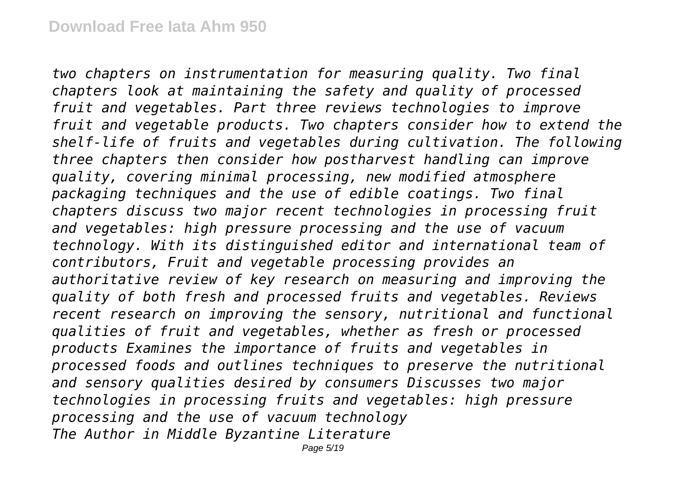*two chapters on instrumentation for measuring quality. Two final chapters look at maintaining the safety and quality of processed fruit and vegetables. Part three reviews technologies to improve fruit and vegetable products. Two chapters consider how to extend the shelf-life of fruits and vegetables during cultivation. The following three chapters then consider how postharvest handling can improve quality, covering minimal processing, new modified atmosphere packaging techniques and the use of edible coatings. Two final chapters discuss two major recent technologies in processing fruit and vegetables: high pressure processing and the use of vacuum technology. With its distinguished editor and international team of contributors, Fruit and vegetable processing provides an authoritative review of key research on measuring and improving the quality of both fresh and processed fruits and vegetables. Reviews recent research on improving the sensory, nutritional and functional qualities of fruit and vegetables, whether as fresh or processed products Examines the importance of fruits and vegetables in processed foods and outlines techniques to preserve the nutritional and sensory qualities desired by consumers Discusses two major technologies in processing fruits and vegetables: high pressure processing and the use of vacuum technology The Author in Middle Byzantine Literature*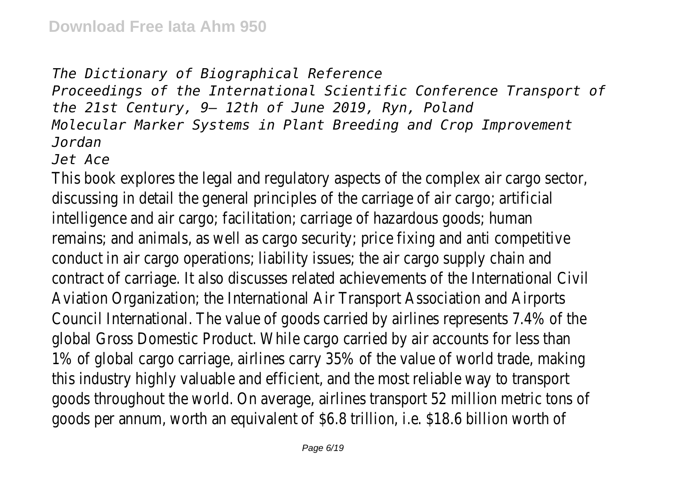*The Dictionary of Biographical Reference Proceedings of the International Scientific Conference Transport of the 21st Century, 9– 12th of June 2019, Ryn, Poland Molecular Marker Systems in Plant Breeding and Crop Improvement Jordan*

*Jet Ace*

This book explores the legal and regulatory aspects of the complex air cargo sector, discussing in detail the general principles of the carriage of air cargo; artificial intelligence and air cargo; facilitation; carriage of hazardous goods; human remains; and animals, as well as cargo security; price fixing and anti competitive conduct in air cargo operations; liability issues; the air cargo supply chain and contract of carriage. It also discusses related achievements of the International Civil Aviation Organization; the International Air Transport Association and Airports Council International. The value of goods carried by airlines represents 7.4% of the global Gross Domestic Product. While cargo carried by air accounts for less than 1% of global cargo carriage, airlines carry 35% of the value of world trade, making this industry highly valuable and efficient, and the most reliable way to transport goods throughout the world. On average, airlines transport 52 million metric tons of goods per annum, worth an equivalent of \$6.8 trillion, i.e. \$18.6 billion worth of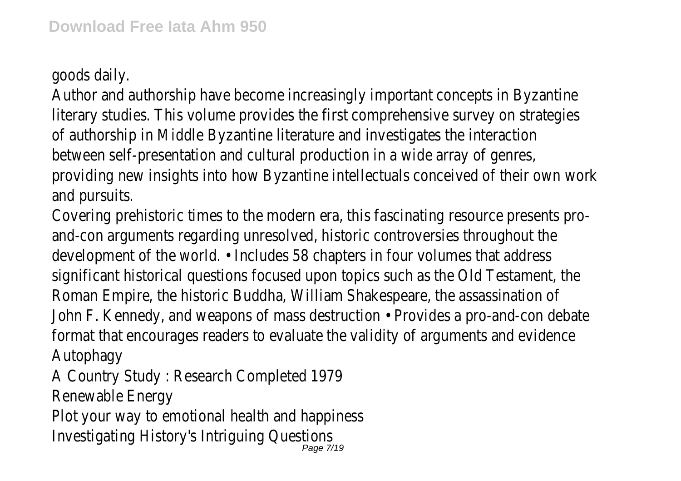goods daily.

Author and authorship have become increasingly important concepts in Byzantine literary studies. This volume provides the first comprehensive survey on strategies of authorship in Middle Byzantine literature and investigates the interaction between self-presentation and cultural production in a wide array of genres, providing new insights into how Byzantine intellectuals conceived of their own work and pursuits.

Covering prehistoric times to the modern era, this fascinating resource presents proand-con arguments regarding unresolved, historic controversies throughout the development of the world. • Includes 58 chapters in four volumes that address significant historical questions focused upon topics such as the Old Testament, the Roman Empire, the historic Buddha, William Shakespeare, the assassination of John F. Kennedy, and weapons of mass destruction • Provides a pro-and-con debate format that encourages readers to evaluate the validity of arguments and evidence Autophagy

A Country Study : Research Completed 1979

Renewable Energy

Plot your way to emotional health and happiness Investigating History's Intriguing Questions Page 7/19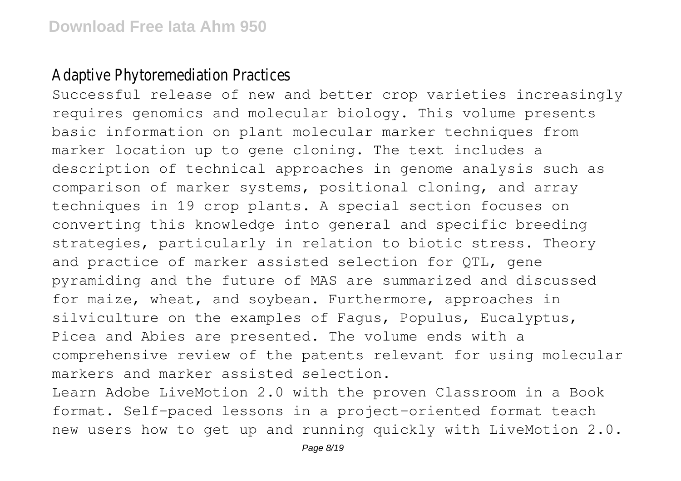## Adaptive Phytoremediation Practices

Successful release of new and better crop varieties increasingly requires genomics and molecular biology. This volume presents basic information on plant molecular marker techniques from marker location up to gene cloning. The text includes a description of technical approaches in genome analysis such as comparison of marker systems, positional cloning, and array techniques in 19 crop plants. A special section focuses on converting this knowledge into general and specific breeding strategies, particularly in relation to biotic stress. Theory and practice of marker assisted selection for QTL, gene pyramiding and the future of MAS are summarized and discussed for maize, wheat, and soybean. Furthermore, approaches in silviculture on the examples of Fagus, Populus, Eucalyptus, Picea and Abies are presented. The volume ends with a comprehensive review of the patents relevant for using molecular markers and marker assisted selection.

Learn Adobe LiveMotion 2.0 with the proven Classroom in a Book format. Self-paced lessons in a project-oriented format teach new users how to get up and running quickly with LiveMotion 2.0.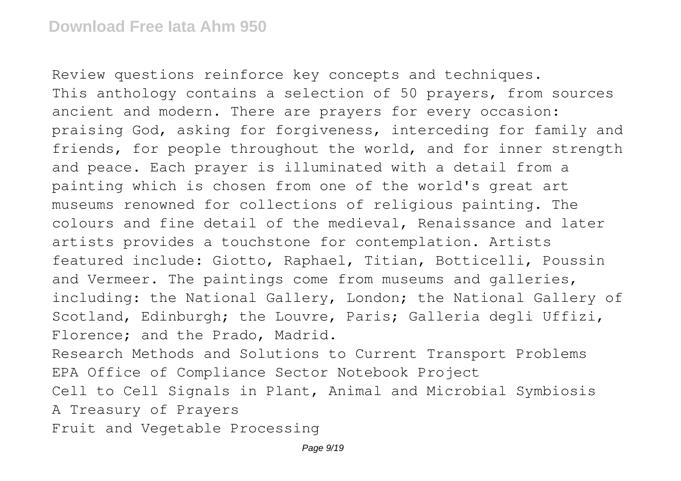Review questions reinforce key concepts and techniques. This anthology contains a selection of 50 prayers, from sources ancient and modern. There are prayers for every occasion: praising God, asking for forgiveness, interceding for family and friends, for people throughout the world, and for inner strength and peace. Each prayer is illuminated with a detail from a painting which is chosen from one of the world's great art museums renowned for collections of religious painting. The colours and fine detail of the medieval, Renaissance and later artists provides a touchstone for contemplation. Artists featured include: Giotto, Raphael, Titian, Botticelli, Poussin and Vermeer. The paintings come from museums and galleries, including: the National Gallery, London; the National Gallery of Scotland, Edinburgh; the Louvre, Paris; Galleria degli Uffizi, Florence; and the Prado, Madrid. Research Methods and Solutions to Current Transport Problems EPA Office of Compliance Sector Notebook Project Cell to Cell Signals in Plant, Animal and Microbial Symbiosis

A Treasury of Prayers

Fruit and Vegetable Processing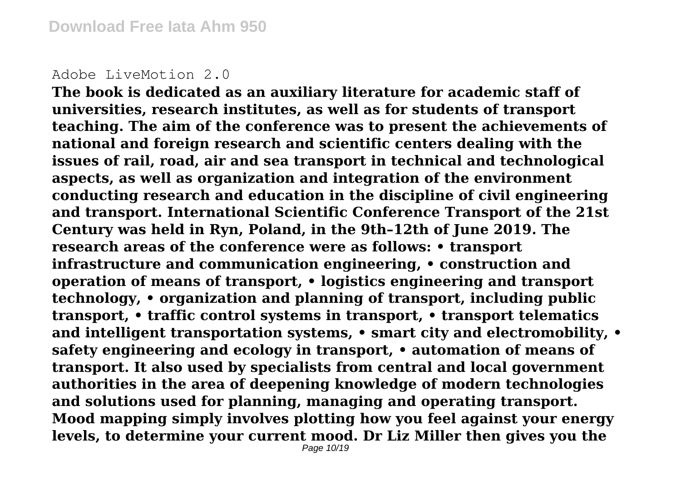## Adobe LiveMotion 2.0

**The book is dedicated as an auxiliary literature for academic staff of universities, research institutes, as well as for students of transport teaching. The aim of the conference was to present the achievements of national and foreign research and scientific centers dealing with the issues of rail, road, air and sea transport in technical and technological aspects, as well as organization and integration of the environment conducting research and education in the discipline of civil engineering and transport. International Scientific Conference Transport of the 21st Century was held in Ryn, Poland, in the 9th–12th of June 2019. The research areas of the conference were as follows: • transport infrastructure and communication engineering, • construction and operation of means of transport, • logistics engineering and transport technology, • organization and planning of transport, including public transport, • traffic control systems in transport, • transport telematics and intelligent transportation systems, • smart city and electromobility, • safety engineering and ecology in transport, • automation of means of transport. It also used by specialists from central and local government authorities in the area of deepening knowledge of modern technologies and solutions used for planning, managing and operating transport. Mood mapping simply involves plotting how you feel against your energy levels, to determine your current mood. Dr Liz Miller then gives you the**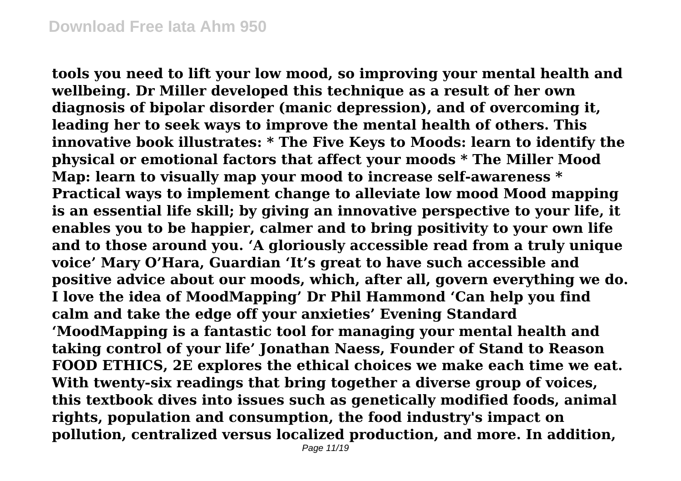**tools you need to lift your low mood, so improving your mental health and wellbeing. Dr Miller developed this technique as a result of her own diagnosis of bipolar disorder (manic depression), and of overcoming it, leading her to seek ways to improve the mental health of others. This innovative book illustrates: \* The Five Keys to Moods: learn to identify the physical or emotional factors that affect your moods \* The Miller Mood Map: learn to visually map your mood to increase self-awareness \* Practical ways to implement change to alleviate low mood Mood mapping is an essential life skill; by giving an innovative perspective to your life, it enables you to be happier, calmer and to bring positivity to your own life and to those around you. 'A gloriously accessible read from a truly unique voice' Mary O'Hara, Guardian 'It's great to have such accessible and positive advice about our moods, which, after all, govern everything we do. I love the idea of MoodMapping' Dr Phil Hammond 'Can help you find calm and take the edge off your anxieties' Evening Standard 'MoodMapping is a fantastic tool for managing your mental health and taking control of your life' Jonathan Naess, Founder of Stand to Reason FOOD ETHICS, 2E explores the ethical choices we make each time we eat. With twenty-six readings that bring together a diverse group of voices, this textbook dives into issues such as genetically modified foods, animal rights, population and consumption, the food industry's impact on pollution, centralized versus localized production, and more. In addition,**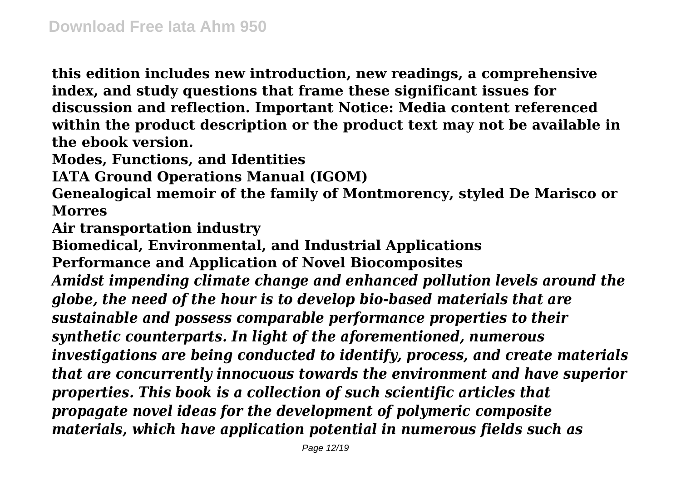**this edition includes new introduction, new readings, a comprehensive index, and study questions that frame these significant issues for discussion and reflection. Important Notice: Media content referenced within the product description or the product text may not be available in the ebook version.**

**Modes, Functions, and Identities**

**IATA Ground Operations Manual (IGOM)**

**Genealogical memoir of the family of Montmorency, styled De Marisco or Morres**

**Air transportation industry**

**Biomedical, Environmental, and Industrial Applications Performance and Application of Novel Biocomposites** *Amidst impending climate change and enhanced pollution levels around the globe, the need of the hour is to develop bio-based materials that are sustainable and possess comparable performance properties to their synthetic counterparts. In light of the aforementioned, numerous investigations are being conducted to identify, process, and create materials that are concurrently innocuous towards the environment and have superior properties. This book is a collection of such scientific articles that propagate novel ideas for the development of polymeric composite materials, which have application potential in numerous fields such as*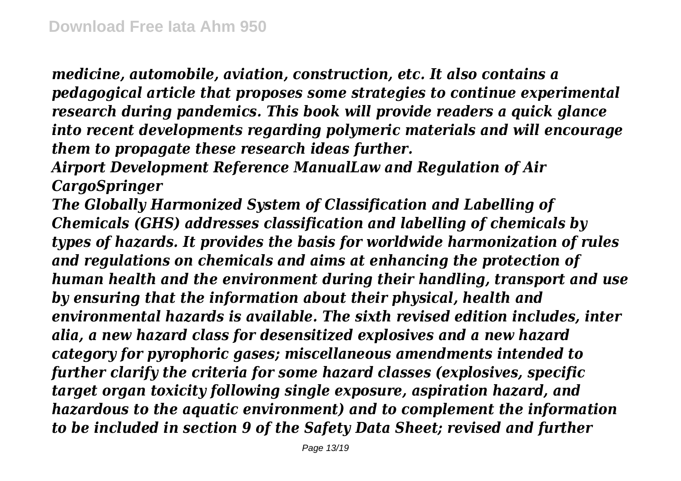*medicine, automobile, aviation, construction, etc. It also contains a pedagogical article that proposes some strategies to continue experimental research during pandemics. This book will provide readers a quick glance into recent developments regarding polymeric materials and will encourage them to propagate these research ideas further.*

*Airport Development Reference ManualLaw and Regulation of Air CargoSpringer*

*The Globally Harmonized System of Classification and Labelling of Chemicals (GHS) addresses classification and labelling of chemicals by types of hazards. It provides the basis for worldwide harmonization of rules and regulations on chemicals and aims at enhancing the protection of human health and the environment during their handling, transport and use by ensuring that the information about their physical, health and environmental hazards is available. The sixth revised edition includes, inter alia, a new hazard class for desensitized explosives and a new hazard category for pyrophoric gases; miscellaneous amendments intended to further clarify the criteria for some hazard classes (explosives, specific target organ toxicity following single exposure, aspiration hazard, and hazardous to the aquatic environment) and to complement the information to be included in section 9 of the Safety Data Sheet; revised and further*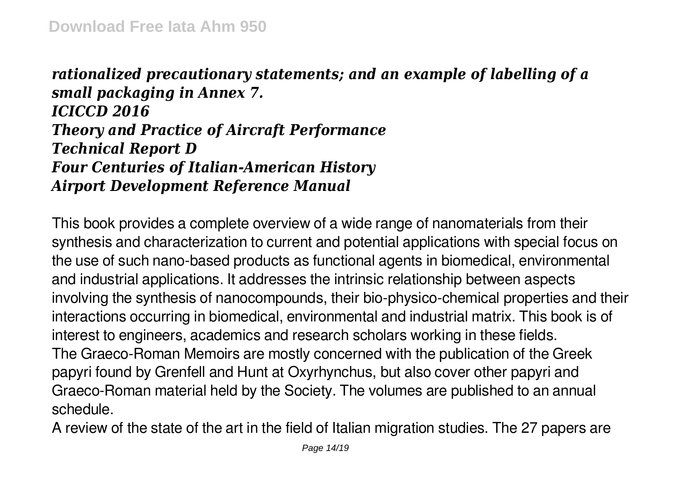## *rationalized precautionary statements; and an example of labelling of a small packaging in Annex 7. ICICCD 2016 Theory and Practice of Aircraft Performance Technical Report D Four Centuries of Italian-American History Airport Development Reference Manual*

This book provides a complete overview of a wide range of nanomaterials from their synthesis and characterization to current and potential applications with special focus on the use of such nano-based products as functional agents in biomedical, environmental and industrial applications. It addresses the intrinsic relationship between aspects involving the synthesis of nanocompounds, their bio-physico-chemical properties and their interactions occurring in biomedical, environmental and industrial matrix. This book is of interest to engineers, academics and research scholars working in these fields. The Graeco-Roman Memoirs are mostly concerned with the publication of the Greek papyri found by Grenfell and Hunt at Oxyrhynchus, but also cover other papyri and Graeco-Roman material held by the Society. The volumes are published to an annual schedule.

A review of the state of the art in the field of Italian migration studies. The 27 papers are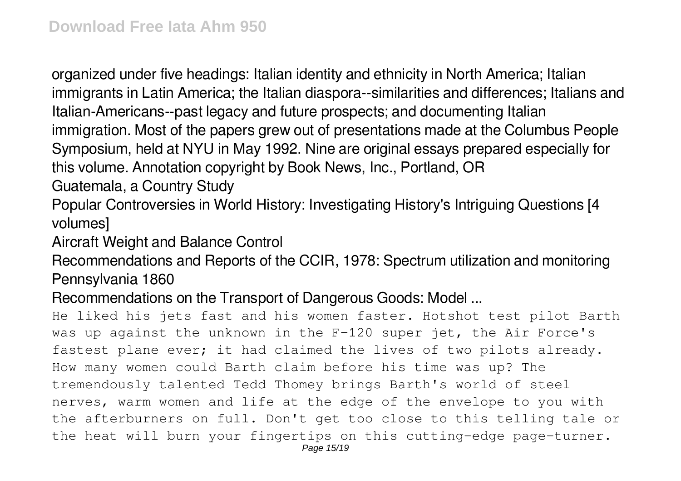organized under five headings: Italian identity and ethnicity in North America; Italian immigrants in Latin America; the Italian diaspora--similarities and differences; Italians and Italian-Americans--past legacy and future prospects; and documenting Italian immigration. Most of the papers grew out of presentations made at the Columbus People Symposium, held at NYU in May 1992. Nine are original essays prepared especially for this volume. Annotation copyright by Book News, Inc., Portland, OR

Guatemala, a Country Study

Popular Controversies in World History: Investigating History's Intriguing Questions [4 volumes]

Aircraft Weight and Balance Control

Recommendations and Reports of the CCIR, 1978: Spectrum utilization and monitoring Pennsylvania 1860

Recommendations on the Transport of Dangerous Goods: Model ...

He liked his jets fast and his women faster. Hotshot test pilot Barth was up against the unknown in the F-120 super jet, the Air Force's fastest plane ever; it had claimed the lives of two pilots already. How many women could Barth claim before his time was up? The tremendously talented Tedd Thomey brings Barth's world of steel nerves, warm women and life at the edge of the envelope to you with the afterburners on full. Don't get too close to this telling tale or the heat will burn your fingertips on this cutting-edge page-turner.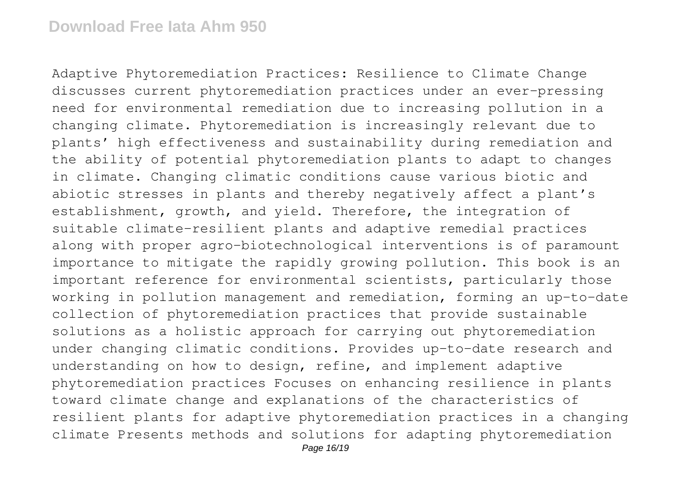Adaptive Phytoremediation Practices: Resilience to Climate Change discusses current phytoremediation practices under an ever-pressing need for environmental remediation due to increasing pollution in a changing climate. Phytoremediation is increasingly relevant due to plants' high effectiveness and sustainability during remediation and the ability of potential phytoremediation plants to adapt to changes in climate. Changing climatic conditions cause various biotic and abiotic stresses in plants and thereby negatively affect a plant's establishment, growth, and yield. Therefore, the integration of suitable climate-resilient plants and adaptive remedial practices along with proper agro-biotechnological interventions is of paramount importance to mitigate the rapidly growing pollution. This book is an important reference for environmental scientists, particularly those working in pollution management and remediation, forming an up-to-date collection of phytoremediation practices that provide sustainable solutions as a holistic approach for carrying out phytoremediation under changing climatic conditions. Provides up-to-date research and understanding on how to design, refine, and implement adaptive phytoremediation practices Focuses on enhancing resilience in plants toward climate change and explanations of the characteristics of resilient plants for adaptive phytoremediation practices in a changing climate Presents methods and solutions for adapting phytoremediation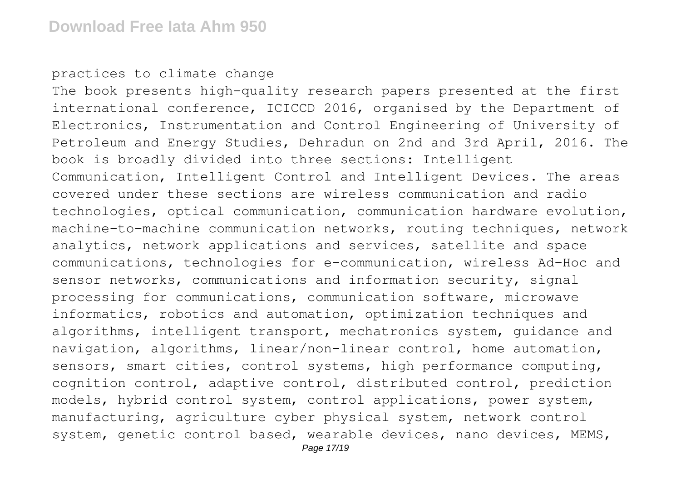practices to climate change

The book presents high-quality research papers presented at the first international conference, ICICCD 2016, organised by the Department of Electronics, Instrumentation and Control Engineering of University of Petroleum and Energy Studies, Dehradun on 2nd and 3rd April, 2016. The book is broadly divided into three sections: Intelligent Communication, Intelligent Control and Intelligent Devices. The areas covered under these sections are wireless communication and radio technologies, optical communication, communication hardware evolution, machine-to-machine communication networks, routing techniques, network analytics, network applications and services, satellite and space communications, technologies for e-communication, wireless Ad-Hoc and sensor networks, communications and information security, signal processing for communications, communication software, microwave informatics, robotics and automation, optimization techniques and algorithms, intelligent transport, mechatronics system, guidance and navigation, algorithms, linear/non-linear control, home automation, sensors, smart cities, control systems, high performance computing, cognition control, adaptive control, distributed control, prediction models, hybrid control system, control applications, power system, manufacturing, agriculture cyber physical system, network control system, genetic control based, wearable devices, nano devices, MEMS,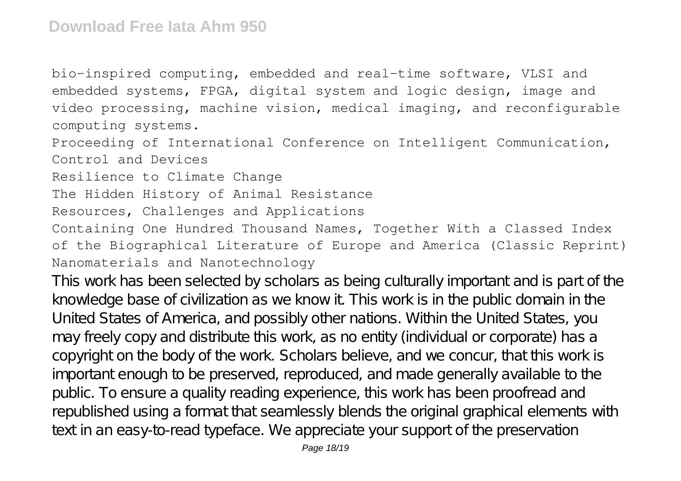bio-inspired computing, embedded and real-time software, VLSI and embedded systems, FPGA, digital system and logic design, image and video processing, machine vision, medical imaging, and reconfigurable computing systems.

Proceeding of International Conference on Intelligent Communication, Control and Devices

Resilience to Climate Change

The Hidden History of Animal Resistance

Resources, Challenges and Applications

Containing One Hundred Thousand Names, Together With a Classed Index of the Biographical Literature of Europe and America (Classic Reprint) Nanomaterials and Nanotechnology

This work has been selected by scholars as being culturally important and is part of the knowledge base of civilization as we know it. This work is in the public domain in the United States of America, and possibly other nations. Within the United States, you may freely copy and distribute this work, as no entity (individual or corporate) has a copyright on the body of the work. Scholars believe, and we concur, that this work is important enough to be preserved, reproduced, and made generally available to the public. To ensure a quality reading experience, this work has been proofread and republished using a format that seamlessly blends the original graphical elements with text in an easy-to-read typeface. We appreciate your support of the preservation